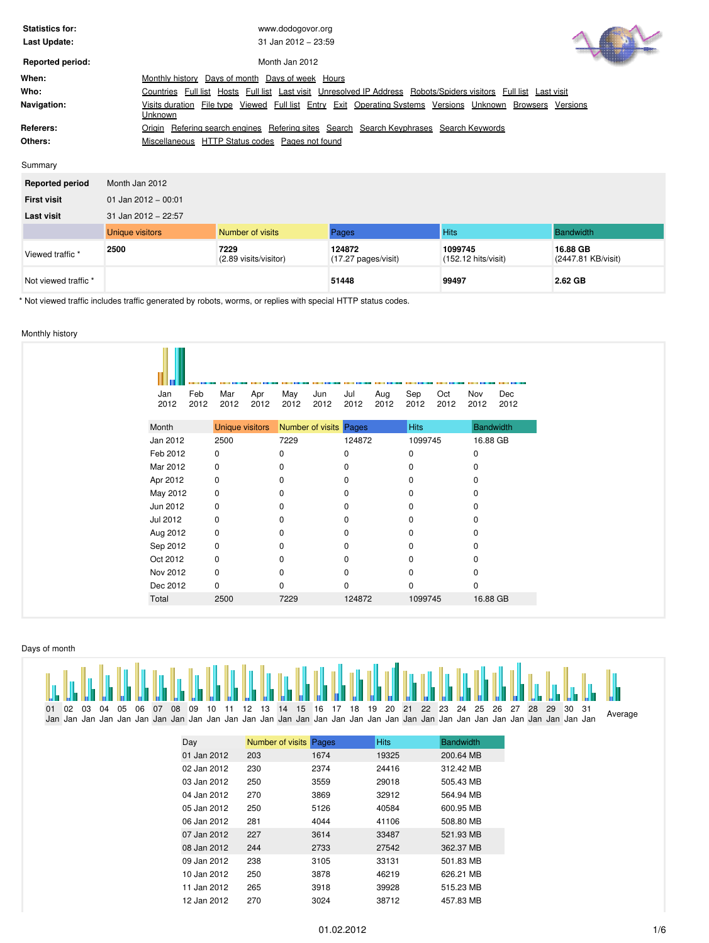| <b>Statistics for:</b><br>Last Update: | www.dodogovor.org<br>$31$ Jan 2012 - 23:59                                                                                               |
|----------------------------------------|------------------------------------------------------------------------------------------------------------------------------------------|
| <b>Reported period:</b>                | Month Jan 2012                                                                                                                           |
| When:                                  | Days of week Hours<br>Days of month<br>Monthly history                                                                                   |
| Who:                                   | Hosts Full list Last visit Unresolved IP Address Robots/Spiders visitors<br>Full list<br>Countries Full list<br>Last visit               |
| Navigation:                            | Viewed Full list Entry Exit Operating Systems Versions Unknown<br>File type<br><b>Browsers</b><br>Visits duration<br>Versions<br>Unknown |
| Referers:                              | Refering sites Search Search Keyphrases Search Keywords<br>Refering search engines<br>Origin                                             |
| Others:                                | HTTP Status codes<br>Pages not found<br>Miscellaneous                                                                                    |

| Summarv |
|---------|
|---------|

| <b>Reported period</b> | Month Jan 2012         |                               |                                         |                                          |                                |  |  |  |  |  |  |  |  |
|------------------------|------------------------|-------------------------------|-----------------------------------------|------------------------------------------|--------------------------------|--|--|--|--|--|--|--|--|
| <b>First visit</b>     | 01 Jan 2012 - 00:01    |                               |                                         |                                          |                                |  |  |  |  |  |  |  |  |
| Last visit             | 31 Jan 2012 - 22:57    |                               |                                         |                                          |                                |  |  |  |  |  |  |  |  |
|                        | <b>Unique visitors</b> | Number of visits              | Pages                                   | <b>Hits</b>                              | Bandwidth                      |  |  |  |  |  |  |  |  |
| Viewed traffic *       | 2500                   | 7229<br>(2.89 visits/visitor) | 124872<br>$(17.27 \text{ pages/visit})$ | 1099745<br>$(152.12 \text{ hits/visit})$ | 16.88 GB<br>(2447.81 KB/visit) |  |  |  |  |  |  |  |  |
| Not viewed traffic *   |                        |                               | 51448                                   | 99497                                    | 2.62 GB                        |  |  |  |  |  |  |  |  |

\* Not viewed traffic includes traffic generated by robots, worms, or replies with special HTTP status codes.

# <span id="page-0-0"></span>Monthly history

| Feb<br>Jan<br>2012<br>2012 | Mar<br>2012            | Apr<br>2012 | May<br>2012 | Jun<br>2012            | Jul<br>2012 | Aug<br>2012 | Sep<br>2012 | Oct<br>2012 | Nov<br>2012  | Dec<br>2012 |
|----------------------------|------------------------|-------------|-------------|------------------------|-------------|-------------|-------------|-------------|--------------|-------------|
| Month                      | <b>Unique visitors</b> |             |             | Number of visits Pages |             |             | <b>Hits</b> |             | Bandwidth    |             |
| Jan 2012                   | 2500                   |             | 7229        |                        | 124872      |             | 1099745     |             | 16.88 GB     |             |
| Feb 2012                   | 0                      |             | 0           |                        | 0           |             | 0           |             | 0            |             |
| Mar 2012                   | $\mathbf 0$            |             | 0           |                        | $\Omega$    |             | 0           |             | <sup>0</sup> |             |
| Apr 2012                   | 0                      |             | 0           |                        | 0           |             | 0           |             | 0            |             |
| May 2012                   | 0                      |             | 0           |                        | $\Omega$    |             | 0           |             | <sup>0</sup> |             |
| Jun 2012                   | 0                      |             | 0           |                        | $\Omega$    |             | 0           |             |              |             |
| Jul 2012                   | 0                      |             | 0           |                        | 0           |             | 0           |             | 0            |             |
| Aug 2012                   | 0                      |             | 0           |                        | 0           |             | $\Omega$    |             | <sup>0</sup> |             |
| Sep 2012                   | 0                      |             | 0           |                        |             |             | $\Omega$    |             |              |             |
| Oct 2012                   | 0                      |             | 0           |                        | 0           |             | 0           |             | 0            |             |
| Nov 2012                   | 0                      |             | 0           |                        | $\Omega$    |             | $\Omega$    |             | <sup>0</sup> |             |
| Dec 2012                   | $\mathbf 0$            |             | 0           |                        | $\Omega$    |             | 0           |             | 0            |             |
| Total                      | 2500                   |             | 7229        |                        | 124872      |             | 1099745     |             | 16.88 GB     |             |

# <span id="page-0-1"></span>Days of month

|       |  |  |  |  |                                                                                        |  |  |  |  |  |  |  |  |  | the below by the ble by the by the ble ble by the ble ble ble ble ble ble ble ble by the ble ble ble below the the ble the |
|-------|--|--|--|--|----------------------------------------------------------------------------------------|--|--|--|--|--|--|--|--|--|----------------------------------------------------------------------------------------------------------------------------|
| 01 02 |  |  |  |  | 03 04 05 06 07 08 09 10 11 12 13 14 15 16 17 18 19 20 21 22 23 24 25 26 27 28 29 30 31 |  |  |  |  |  |  |  |  |  | Average                                                                                                                    |
|       |  |  |  |  |                                                                                        |  |  |  |  |  |  |  |  |  |                                                                                                                            |

| Day         | Number of visits | Pages | <b>Hits</b> | <b>Bandwidth</b> |
|-------------|------------------|-------|-------------|------------------|
| 01 Jan 2012 | 203              | 1674  | 19325       | 200.64 MB        |
| 02 Jan 2012 | 230              | 2374  | 24416       | 312.42 MB        |
| 03 Jan 2012 | 250              | 3559  | 29018       | 505.43 MB        |
| 04 Jan 2012 | 270              | 3869  | 32912       | 564.94 MB        |
| 05 Jan 2012 | 250              | 5126  | 40584       | 600.95 MB        |
| 06 Jan 2012 | 281              | 4044  | 41106       | 508.80 MB        |
| 07 Jan 2012 | 227              | 3614  | 33487       | 521.93 MB        |
| 08 Jan 2012 | 244              | 2733  | 27542       | 362.37 MB        |
| 09 Jan 2012 | 238              | 3105  | 33131       | 501.83 MB        |
| 10 Jan 2012 | 250              | 3878  | 46219       | 626.21 MB        |
| 11 Jan 2012 | 265              | 3918  | 39928       | 515.23 MB        |
| 12 Jan 2012 | 270              | 3024  | 38712       | 457.83 MB        |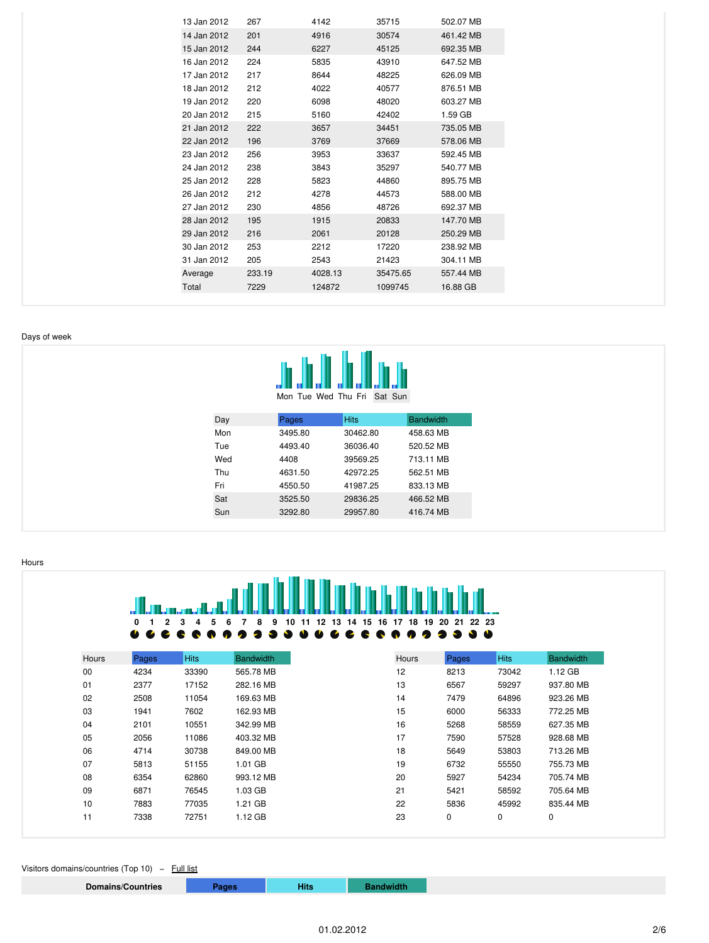| 13 Jan 2012 | 267    | 4142    | 35715    | 502.07 MB |
|-------------|--------|---------|----------|-----------|
| 14 Jan 2012 | 201    | 4916    | 30574    | 461.42 MB |
| 15 Jan 2012 | 244    | 6227    | 45125    | 692.35 MB |
| 16 Jan 2012 | 224    | 5835    | 43910    | 647.52 MB |
| 17 Jan 2012 | 217    | 8644    | 48225    | 626.09 MB |
| 18 Jan 2012 | 212    | 4022    | 40577    | 876.51 MB |
| 19 Jan 2012 | 220    | 6098    | 48020    | 603.27 MB |
| 20 Jan 2012 | 215    | 5160    | 42402    | 1.59 GB   |
| 21 Jan 2012 | 222    | 3657    | 34451    | 735.05 MB |
| 22 Jan 2012 | 196    | 3769    | 37669    | 578.06 MB |
| 23 Jan 2012 | 256    | 3953    | 33637    | 592.45 MB |
| 24 Jan 2012 | 238    | 3843    | 35297    | 540.77 MB |
| 25 Jan 2012 | 228    | 5823    | 44860    | 895.75 MB |
| 26 Jan 2012 | 212    | 4278    | 44573    | 588.00 MB |
| 27 Jan 2012 | 230    | 4856    | 48726    | 692.37 MB |
| 28 Jan 2012 | 195    | 1915    | 20833    | 147.70 MB |
| 29 Jan 2012 | 216    | 2061    | 20128    | 250.29 MB |
| 30 Jan 2012 | 253    | 2212    | 17220    | 238.92 MB |
| 31 Jan 2012 | 205    | 2543    | 21423    | 304.11 MB |
| Average     | 233.19 | 4028.13 | 35475.65 | 557.44 MB |
| Total       | 7229   | 124872  | 1099745  | 16.88 GB  |
|             |        |         |          |           |

#### <span id="page-1-0"></span>Days of week



|  | IVIOII IUE VVEU IIIU FII SAL SUII |  |  |  |
|--|-----------------------------------|--|--|--|
|  |                                   |  |  |  |

| Day | Pages   | <b>Hits</b> | <b>Bandwidth</b> |
|-----|---------|-------------|------------------|
| Mon | 3495.80 | 30462.80    | 458.63 MB        |
| Tue | 4493.40 | 36036.40    | 520.52 MB        |
| Wed | 4408    | 39569.25    | 713.11 MB        |
| Thu | 4631.50 | 42972.25    | 562.51 MB        |
| Fri | 4550.50 | 41987.25    | 833.13 MB        |
| Sat | 3525.50 | 29836.25    | 466.52 MB        |
| Sun | 3292.80 | 29957.80    | 416.74 MB        |
|     |         |             |                  |

<span id="page-1-1"></span>Hours

|       | o<br>2<br>60 | 5<br>з<br>4<br>æ | 8<br>6<br>9      | 13<br>15<br>11<br>12<br>10<br>14 | 18<br>17<br>19<br>16 | 22 23<br>20<br>21<br>æ | ₩           |                  |
|-------|--------------|------------------|------------------|----------------------------------|----------------------|------------------------|-------------|------------------|
| Hours | Pages        | <b>Hits</b>      | <b>Bandwidth</b> |                                  | Hours                | Pages                  | <b>Hits</b> | <b>Bandwidth</b> |
| 00    | 4234         | 33390            | 565.78 MB        |                                  | 12                   | 8213                   | 73042       | 1.12 GB          |
| 01    | 2377         | 17152            | 282.16 MB        |                                  | 13                   | 6567                   | 59297       | 937.80 MB        |
| 02    | 2508         | 11054            | 169.63 MB        |                                  | 14                   | 7479                   | 64896       | 923.26 MB        |
| 03    | 1941         | 7602             | 162.93 MB        |                                  | 15                   | 6000                   | 56333       | 772.25 MB        |
| 04    | 2101         | 10551            | 342.99 MB        |                                  | 16                   | 5268                   | 58559       | 627.35 MB        |
| 05    | 2056         | 11086            | 403.32 MB        |                                  | 17                   | 7590                   | 57528       | 928.68 MB        |
| 06    | 4714         | 30738            | 849.00 MB        |                                  | 18                   | 5649                   | 53803       | 713.26 MB        |
| 07    | 5813         | 51155            | 1.01 GB          |                                  | 19                   | 6732                   | 55550       | 755.73 MB        |
| 08    | 6354         | 62860            | 993.12 MB        |                                  | 20                   | 5927                   | 54234       | 705.74 MB        |
| 09    | 6871         | 76545            | 1.03 GB          |                                  | 21                   | 5421                   | 58592       | 705.64 MB        |
| 10    | 7883         | 77035            | 1.21 GB          |                                  | 22                   | 5836                   | 45992       | 835.44 MB        |
| 11    | 7338         | 72751            | 1.12 GB          |                                  | 23                   | 0                      | 0           | 0                |

<span id="page-1-2"></span>Visitors domains/countries (Top 10) - Full list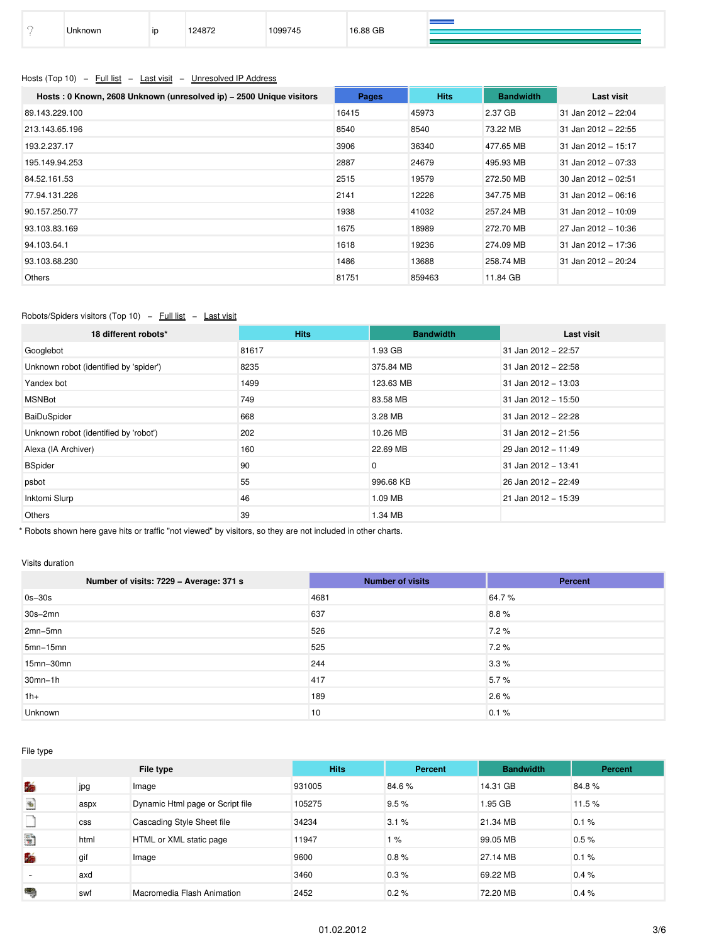| .88 GB<br>1070<br>1099745<br>Jnknown<br>ID |
|--------------------------------------------|
|--------------------------------------------|

# <span id="page-2-0"></span>Hosts (Top 10) – Full list – Last visit – Unresolved IP Address

| Hosts: 0 Known, 2608 Unknown (unresolved ip) - 2500 Unique visitors | Pages | <b>Hits</b> | <b>Bandwidth</b> | Last visit            |
|---------------------------------------------------------------------|-------|-------------|------------------|-----------------------|
| 89.143.229.100                                                      | 16415 | 45973       | 2.37 GB          | 31 Jan 2012 - 22:04   |
| 213.143.65.196                                                      | 8540  | 8540        | 73.22 MB         | 31 Jan 2012 - 22:55   |
| 193.2.237.17                                                        | 3906  | 36340       | 477.65 MB        | 31 Jan 2012 - 15:17   |
| 195.149.94.253                                                      | 2887  | 24679       | 495.93 MB        | 31 Jan 2012 - 07:33   |
| 84.52.161.53                                                        | 2515  | 19579       | 272.50 MB        | 30 Jan 2012 - 02:51   |
| 77.94.131.226                                                       | 2141  | 12226       | 347.75 MB        | 31 Jan 2012 - 06:16   |
| 90.157.250.77                                                       | 1938  | 41032       | 257.24 MB        | 31 Jan 2012 - 10:09   |
| 93.103.83.169                                                       | 1675  | 18989       | 272.70 MB        | 27 Jan 2012 - 10:36   |
| 94.103.64.1                                                         | 1618  | 19236       | 274.09 MB        | 31 Jan 2012 - 17:36   |
| 93.103.68.230                                                       | 1486  | 13688       | 258.74 MB        | $31$ Jan 2012 - 20:24 |
| Others                                                              | 81751 | 859463      | 11.84 GB         |                       |

# <span id="page-2-1"></span>Robots/Spiders visitors (Top 10) - Full list - Last visit

| 18 different robots*                   | <b>Hits</b> | <b>Bandwidth</b> | <b>Last visit</b>   |
|----------------------------------------|-------------|------------------|---------------------|
| Googlebot                              | 81617       | 1.93 GB          | 31 Jan 2012 - 22:57 |
| Unknown robot (identified by 'spider') | 8235        | 375.84 MB        | 31 Jan 2012 - 22:58 |
| Yandex bot                             | 1499        | 123.63 MB        | 31 Jan 2012 - 13:03 |
| <b>MSNBot</b>                          | 749         | 83.58 MB         | 31 Jan 2012 - 15:50 |
| BaiDuSpider                            | 668         | 3.28 MB          | 31 Jan 2012 - 22:28 |
| Unknown robot (identified by 'robot')  | 202         | 10.26 MB         | 31 Jan 2012 - 21:56 |
| Alexa (IA Archiver)                    | 160         | 22.69 MB         | 29 Jan 2012 - 11:49 |
| <b>BSpider</b>                         | 90          | 0                | 31 Jan 2012 - 13:41 |
| psbot                                  | 55          | 996.68 KB        | 26 Jan 2012 - 22:49 |
| Inktomi Slurp                          | 46          | 1.09 MB          | 21 Jan 2012 - 15:39 |
| Others                                 | 39          | 1.34 MB          |                     |

\* Robots shown here gave hits or traffic "not viewed" by visitors, so they are not included in other charts.

### <span id="page-2-2"></span>Visits duration

| Number of visits: 7229 - Average: 371 s | <b>Number of visits</b> | Percent |
|-----------------------------------------|-------------------------|---------|
| $0s-30s$                                | 4681                    | 64.7%   |
| $30s - 2mn$                             | 637                     | 8.8%    |
| $2mn-5mn$                               | 526                     | 7.2%    |
| $5mn-15mn$                              | 525                     | 7.2%    |
| 15mn-30mn                               | 244                     | 3.3%    |
| $30mn-1h$                               | 417                     | 5.7%    |
| $1h+$                                   | 189                     | 2.6%    |
| Unknown                                 | 10                      | 0.1%    |

<span id="page-2-3"></span>File type

|                                   |            | File type                        | <b>Hits</b> | Percent | <b>Bandwidth</b> | Percent |
|-----------------------------------|------------|----------------------------------|-------------|---------|------------------|---------|
| 酶                                 | jpg        | Image                            | 931005      | 84.6%   | 14.31 GB         | 84.8%   |
| $\frac{d\mathbf{r}}{d\mathbf{r}}$ | aspx       | Dynamic Html page or Script file | 105275      | 9.5%    | 1.95 GB          | 11.5%   |
|                                   | <b>CSS</b> | Cascading Style Sheet file       | 34234       | 3.1%    | 21.34 MB         | 0.1%    |
| Đ                                 | html       | HTML or XML static page          | 11947       | 1%      | 99.05 MB         | 0.5%    |
| 酶                                 | gif        | Image                            | 9600        | 0.8%    | 27.14 MB         | 0.1%    |
|                                   | axd        |                                  | 3460        | 0.3%    | 69.22 MB         | 0.4%    |
| ۳                                 | swf        | Macromedia Flash Animation       | 2452        | 0.2%    | 72.20 MB         | 0.4%    |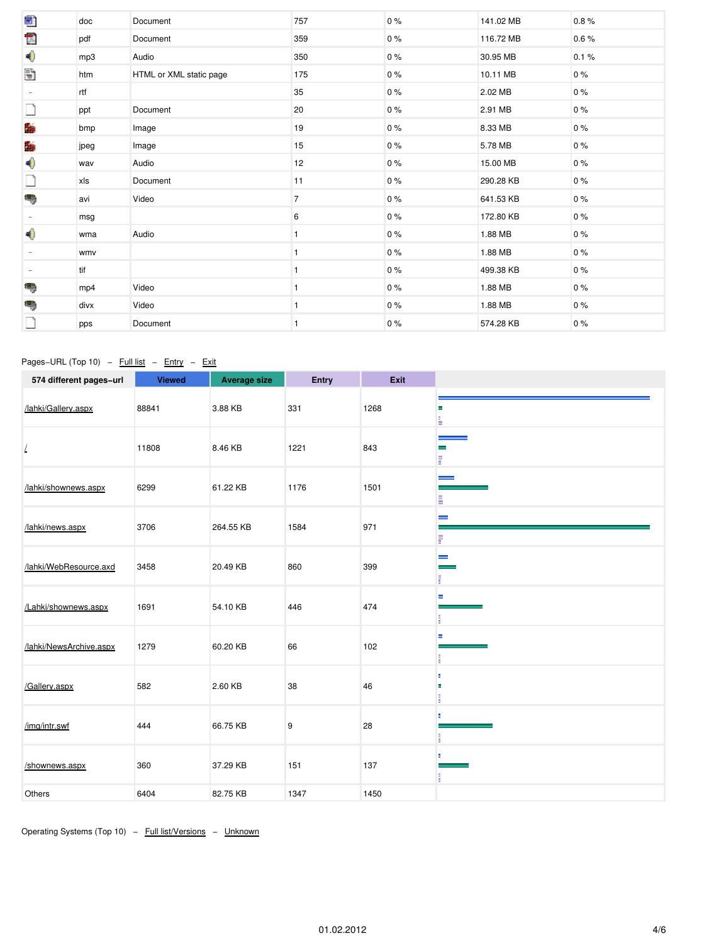| 圈                        | doc  | Document                | 757            | 0%    | 141.02 MB | 0.8%  |
|--------------------------|------|-------------------------|----------------|-------|-----------|-------|
| Ē                        | pdf  | Document                | 359            | 0%    | 116.72 MB | 0.6%  |
| $\bigcirc$               | mp3  | Audio                   | 350            | 0%    | 30.95 MB  | 0.1%  |
| Đ                        | htm  | HTML or XML static page | 175            | 0%    | 10.11 MB  | $0\%$ |
| $\sim$                   | rtf  |                         | 35             | 0%    | 2.02 MB   | $0\%$ |
|                          | ppt  | Document                | 20             | 0%    | 2.91 MB   | $0\%$ |
| 酶                        | bmp  | Image                   | 19             | 0%    | 8.33 MB   | $0\%$ |
| 酶                        | jpeg | Image                   | 15             | 0%    | 5.78 MB   | 0%    |
| $\bigcirc$               | wav  | Audio                   | 12             | $0\%$ | 15.00 MB  | $0\%$ |
|                          | xls  | Document                | 11             | 0%    | 290.28 KB | $0\%$ |
| ١                        | avi  | Video                   | $\overline{7}$ | $0\%$ | 641.53 KB | $0\%$ |
| $\overline{\phantom{a}}$ | msg  |                         | 6              | 0%    | 172.80 KB | $0\%$ |
| $\blacklozenge$          | wma  | Audio                   |                | 0%    | 1.88 MB   | 0%    |
| $\overline{\phantom{a}}$ | wmv  |                         |                | 0%    | 1.88 MB   | 0%    |
| $\sim$                   | tif  |                         |                | 0%    | 499.38 KB | $0\%$ |
| ١                        | mp4  | Video                   |                | 0%    | 1.88 MB   | 0%    |
| ١                        | divx | Video                   |                | 0%    | 1.88 MB   | $0\%$ |
|                          | pps  | Document                | 1              | 0%    | 574.28 KB | 0%    |

# <span id="page-3-0"></span>Pages−URL (Top 10) – Full list – Entry – Exit

| 574 different pages-url | <b>Viewed</b> | <b>Average size</b> | Entry | <b>Exit</b> |                   |
|-------------------------|---------------|---------------------|-------|-------------|-------------------|
| /lahki/Gallery.aspx     | 88841         | 3.88 KB             | 331   | 1268        | ÷,<br>÷           |
| L                       | 11808         | 8.46 KB             | 1221  | 843         | j<br>Ē            |
| /lahki/shownews.aspx    | 6299          | 61.22 KB            | 1176  | 1501        | فسيست<br>Ė        |
| /lahki/news.aspx        | 3706          | 264.55 KB           | 1584  | 971         | $\equiv$<br>F     |
| /lahki/WebResource.axd  | 3458          | 20.49 KB            | 860   | 399         | $\equiv$<br>F     |
| /Lahki/shownews.aspx    | 1691          | 54.10 KB            | 446   | 474         | Ξ<br>Ē            |
| /lahki/NewsArchive.aspx | 1279          | 60.20 KB            | 66    | 102         | Ξ<br>H.           |
| /Gallery.aspx           | 582           | 2.60 KB             | 38    | 46          | ٠<br>×<br>ш<br>Ē. |
| /img/intr.swf           | 444           | 66.75 KB            | 9     | 28          | Ė.<br>ш<br>п      |
| /shownews.aspx          | 360           | 37.29 KB            | 151   | 137         | ٠<br>I,           |
| Others                  | 6404          | 82.75 KB            | 1347  | 1450        |                   |

<span id="page-3-1"></span>Operating Systems (Top 10) – Full list/Versions – Unknown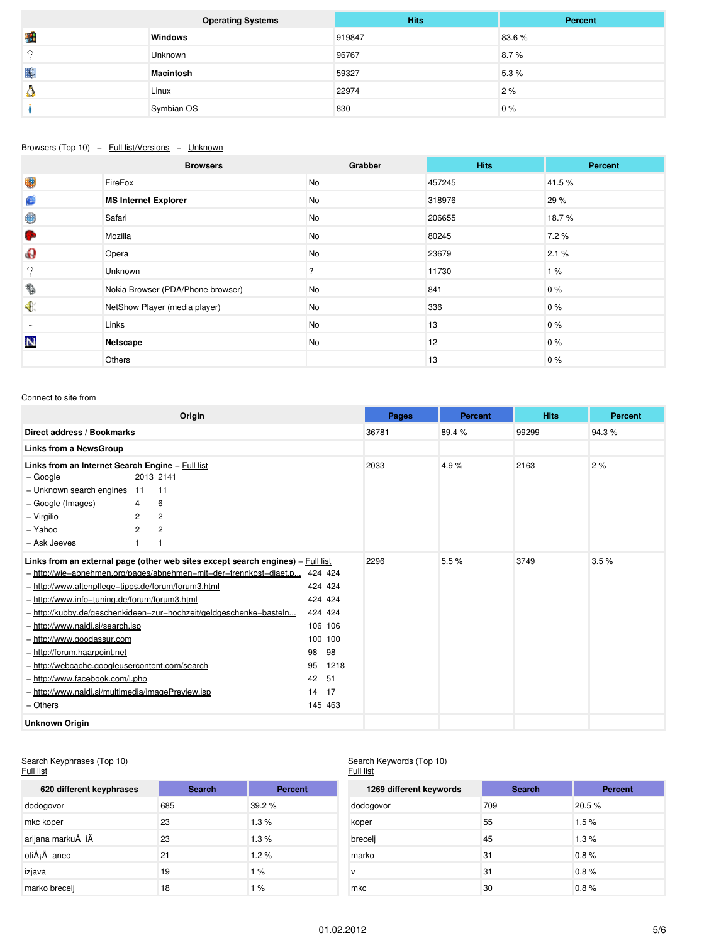|                       | <b>Operating Systems</b> | <b>Hits</b> | Percent |
|-----------------------|--------------------------|-------------|---------|
| 瓢                     | <b>Windows</b>           | 919847      | 83.6%   |
| - 0                   | Unknown                  | 96767       | 8.7%    |
| $\blacktriangleright$ | <b>Macintosh</b>         | 59327       | 5.3%    |
| é.                    | Linux                    | 22974       | 2%      |
|                       | Symbian OS               | 830         | 0%      |

### <span id="page-4-0"></span>Browsers (Top 10) - Full list/Versions - Unknown

|                          | <b>Browsers</b>                   | Grabber   | <b>Hits</b> | Percent |
|--------------------------|-----------------------------------|-----------|-------------|---------|
| 4                        | FireFox                           | <b>No</b> | 457245      | 41.5%   |
| ø                        | <b>MS Internet Explorer</b>       | No        | 318976      | 29 %    |
| 0                        | Safari                            | No        | 206655      | 18.7%   |
| G.                       | Mozilla                           | No        | 80245       | 7.2%    |
| $\mathbf{\Theta}$        | Opera                             | No        | 23679       | 2.1%    |
| 9                        | Unknown                           | ?         | 11730       | 1%      |
| ♦                        | Nokia Browser (PDA/Phone browser) | No        | 841         | $0\%$   |
| $\bullet$                | NetShow Player (media player)     | No        | 336         | $0\%$   |
| $\overline{\phantom{a}}$ | Links                             | No        | 13          | $0\%$   |
| 料                        | Netscape                          | No        | 12          | $0\%$   |
|                          | Others                            |           | 13          | 0%      |

### <span id="page-4-1"></span>Connect to site from

|                                                                                                                                                                                                                                                                                                                                                              |                          | Origin                                                                                                                                                                                                                      |                                                                                                                             | Pages | <b>Percent</b> | <b>Hits</b> | <b>Percent</b> |
|--------------------------------------------------------------------------------------------------------------------------------------------------------------------------------------------------------------------------------------------------------------------------------------------------------------------------------------------------------------|--------------------------|-----------------------------------------------------------------------------------------------------------------------------------------------------------------------------------------------------------------------------|-----------------------------------------------------------------------------------------------------------------------------|-------|----------------|-------------|----------------|
| Direct address / Bookmarks                                                                                                                                                                                                                                                                                                                                   |                          |                                                                                                                                                                                                                             |                                                                                                                             | 36781 | 89.4%          | 99299       | 94.3%          |
| <b>Links from a NewsGroup</b>                                                                                                                                                                                                                                                                                                                                |                          |                                                                                                                                                                                                                             |                                                                                                                             |       |                |             |                |
| Links from an Internet Search Engine - Full list<br>– Google                                                                                                                                                                                                                                                                                                 | 11                       | 2013 2141<br>11                                                                                                                                                                                                             |                                                                                                                             | 2033  | 4.9%           | 2163        | 2%             |
| - Unknown search engines<br>- Google (Images)<br>- Virgilio<br>- Yahoo<br>- Ask Jeeves                                                                                                                                                                                                                                                                       | 4<br>2<br>$\overline{2}$ | 6<br>2<br>$\overline{2}$                                                                                                                                                                                                    |                                                                                                                             |       |                |             |                |
| - http://www.altenpflege-tipps.de/forum/forum3.html<br>- http://www.info-tuning.de/forum/forum3.html<br>- http://www.najdi.si/search.jsp<br>- http://www.goodassur.com<br>- http://forum.haarpoint.net<br>- http://webcache.googleusercontent.com/search<br>- http://www.facebook.com/l.php<br>- http://www.najdi.si/multimedia/imagePreview.jsp<br>- Others |                          | Links from an external page (other web sites except search engines) – Full list<br>- http://wie-abnehmen.org/pages/abnehmen-mit-der-trennkost-diaet.p<br>- http://kubby.de/geschenkideen-zur-hochzeit/geldgeschenke-basteln | 424 424<br>424 424<br>424 424<br>424 424<br>106 106<br>100 100<br>98<br>98<br>95<br>1218<br>42<br>51<br>14<br>17<br>145 463 | 2296  | 5.5%           | 3749        | 3.5%           |
| <b>Unknown Origin</b>                                                                                                                                                                                                                                                                                                                                        |                          |                                                                                                                                                                                                                             |                                                                                                                             |       |                |             |                |

#### <span id="page-4-2"></span>Search Keyphrases (Top 10)

#### <u>Full list</u>

# Search Keywords (Top 10)

| Full list                |               |         | Full list               |               |                |
|--------------------------|---------------|---------|-------------------------|---------------|----------------|
| 620 different keyphrases | <b>Search</b> | Percent | 1269 different keywords | <b>Search</b> | <b>Percent</b> |
| dodogovor                | 685           | 39.2%   | dodogovor               | 709           | 20.5 %         |
| mkc koper                | 23            | 1.3%    | koper                   | 55            | 1.5%           |
| arijana markuÄ iÄ        | 23            | 1.3%    | brecelj                 | 45            | 1.3%           |
| otiÅ <sub>j</sub> Ä anec | 21            | 1.2%    | marko                   | 31            | 0.8%           |
| izjava                   | 19            | 1%      | <b>V</b>                | 31            | 0.8%           |
| marko brecelj            | 18            | 1 %     | mkc                     | 30            | 0.8%           |